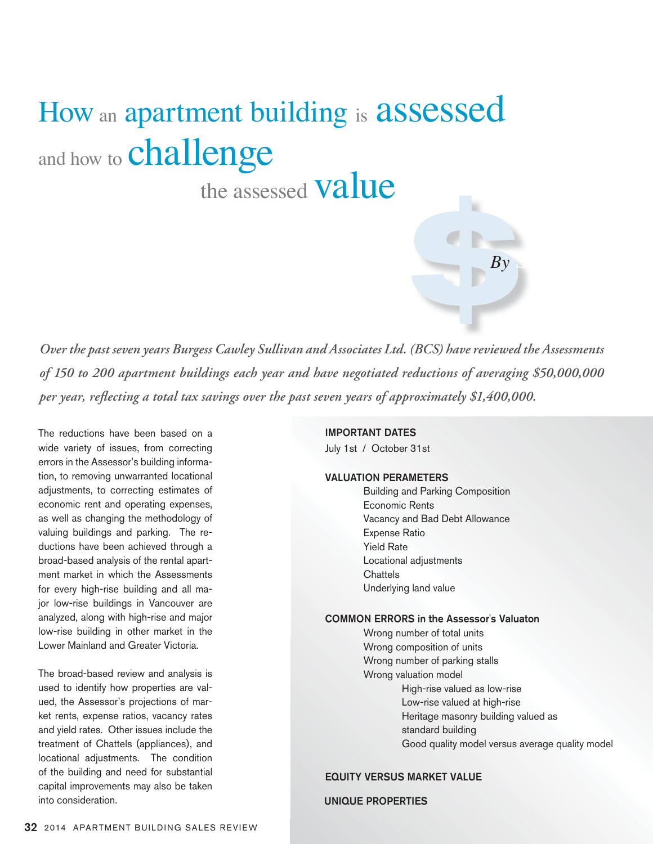# How an apartment building is assessed and how to **challenge**

the assessed **Value** 

*Over the past seven years Burgess Cawley Sullivan and Associates Ltd. (BCS) have reviewed the Assessments of 150 to 200 apartment buildings each year and have negotiated reductions of averaging \$50,000,000 per year, reflecting a total tax savings over the past seven years of approximately \$1,400,000.*

The reductions have been based on a wide variety of issues, from correcting errors in the Assessor's building information, to removing unwarranted locational adjustments, to correcting estimates of economic rent and operating expenses, as well as changing the methodology of valuing buildings and parking. The reductions have been achieved through a broad-based analysis of the rental apartment market in which the Assessments for every high-rise building and all major low-rise buildings in Vancouver are analyzed, along with high-rise and major low-rise building in other market in the Lower Mainland and Greater Victoria.

The broad-based review and analysis is used to identify how properties are valued, the Assessor's projections of market rents, expense ratios, vacancy rates and yield rates. Other issues include the treatment of Chattels (appliances), and locational adjustments. The condition of the building and need for substantial capital improvements may also be taken into consideration.

#### IMPORTANT DATES

July 1st / October 31st

## VALUATION PERAMETERS

 Building and Parking Composition Economic Rents Vacancy and Bad Debt Allowance Expense Ratio Yield Rate Locational adjustments **Chattels** Underlying land value

**By** 

 $By \sim$ 

#### COMMON ERRORS in the Assessor's Valuaton

 Wrong number of total units Wrong composition of units Wrong number of parking stalls Wrong valuation model High-rise valued as low-rise Low-rise valued at high-rise Heritage masonry building valued as standard building Good quality model versus average quality model

## EQUITY VERSUS MARKET VALUE

## UNIQUE PROPERTIES